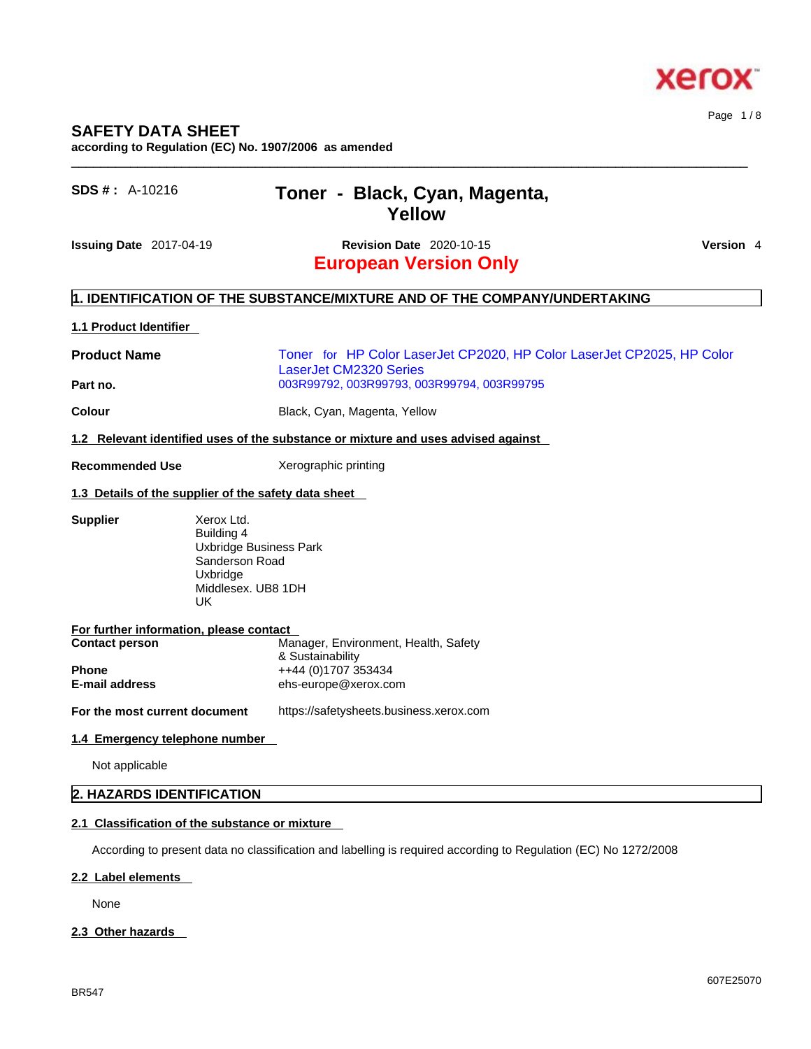According to present data no classification and labelling is required according to Regulation (EC) No 1272/2008

### **2.2 Label elements**

None

# **2.3 Other hazards**

# $\_$  ,  $\_$  ,  $\_$  ,  $\_$  ,  $\_$  ,  $\_$  ,  $\_$  ,  $\_$  ,  $\_$  ,  $\_$  ,  $\_$  ,  $\_$  ,  $\_$  ,  $\_$  ,  $\_$  ,  $\_$  ,  $\_$  ,  $\_$  ,  $\_$  ,  $\_$  ,  $\_$  ,  $\_$  ,  $\_$  ,  $\_$  ,  $\_$  ,  $\_$  ,  $\_$  ,  $\_$  ,  $\_$  ,  $\_$  ,  $\_$  ,  $\_$  ,  $\_$  ,  $\_$  ,  $\_$  ,  $\_$  ,  $\_$  ,

Page 1 / 8

# **Yellow Issuing Date** 2017-04-19 **Revision Date** 2020-10-15 **Version** 4

**European Version Only** 

# **1. IDENTIFICATION OF THE SUBSTANCE/MIXTURE AND OF THE COMPANY/UNDERTAKING**

### **1.1 Product Identifier**

**SAFETY DATA SHEET** 

**Product Name** Toner for HP Color LaserJet CP2020, HP Color LaserJet CP2025, HP Color LaserJet CM2320 Series **Part no.** 003R99792, 003R99793, 003R99794, 003R99795

**Colour Colour Black, Cyan, Magenta, Yellow** 

**according to Regulation (EC) No. 1907/2006 as amended** 

**1.2 Relevant identified uses of the substance or mixture and uses advised against**

**SDS # :** A-10216 **Toner - Black, Cyan, Magenta,** 

**Recommended Use** Xerographic printing

#### **1.3 Details of the supplier of the safety data sheet**

**Supplier** Xerox Ltd. Building 4 Uxbridge Business Park Sanderson Road Uxbridge Middlesex. UB8 1DH

| For further information, please contact |                                      |
|-----------------------------------------|--------------------------------------|
| <b>Contact person</b>                   | Manager, Environment, Health, Safety |
|                                         | & Sustainability                     |
| <b>Phone</b>                            | ++44 (0)1707 353434                  |
| E-mail address                          | ehs-europe@xerox.com                 |
|                                         |                                      |

UK

**For the most current document** https://safetysheets.business.xerox.com

# **1.4 Emergency telephone number**

Not applicable

# **2. HAZARDS IDENTIFICATION**

# **2.1 Classification of the substance or mixture**

607E25070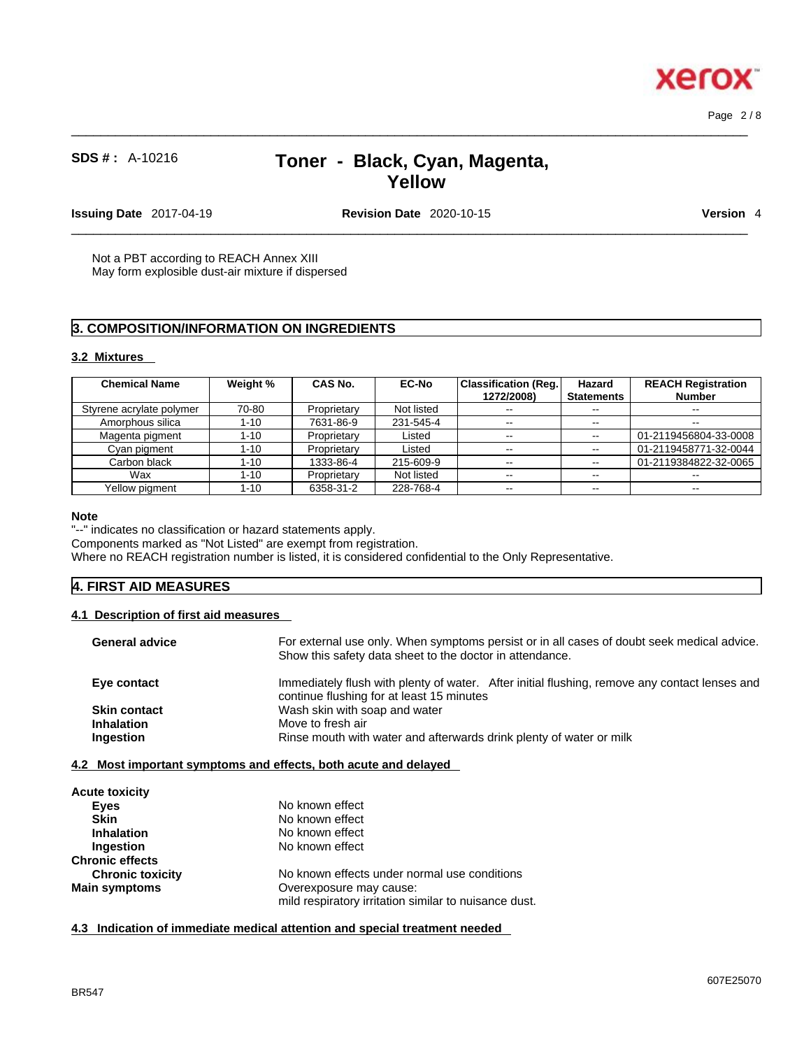**Xerox** 

# **SDS # :** A-10216 **Toner - Black, Cyan, Magenta, Yellow**

 $\_$  ,  $\_$  ,  $\_$  ,  $\_$  ,  $\_$  ,  $\_$  ,  $\_$  ,  $\_$  ,  $\_$  ,  $\_$  ,  $\_$  ,  $\_$  ,  $\_$  ,  $\_$  ,  $\_$  ,  $\_$  ,  $\_$  ,  $\_$  ,  $\_$  ,  $\_$  ,  $\_$  ,  $\_$  ,  $\_$  ,  $\_$  ,  $\_$  ,  $\_$  ,  $\_$  ,  $\_$  ,  $\_$  ,  $\_$  ,  $\_$  ,  $\_$  ,  $\_$  ,  $\_$  ,  $\_$  ,  $\_$  ,  $\_$  ,

**Issuing Date** 2017-04-19 **Revision Date** 2020-10-15 **Version** 4

 $\_$  ,  $\_$  ,  $\_$  ,  $\_$  ,  $\_$  ,  $\_$  ,  $\_$  ,  $\_$  ,  $\_$  ,  $\_$  ,  $\_$  ,  $\_$  ,  $\_$  ,  $\_$  ,  $\_$  ,  $\_$  ,  $\_$  ,  $\_$  ,  $\_$  ,  $\_$  ,  $\_$  ,  $\_$  ,  $\_$  ,  $\_$  ,  $\_$  ,  $\_$  ,  $\_$  ,  $\_$  ,  $\_$  ,  $\_$  ,  $\_$  ,  $\_$  ,  $\_$  ,  $\_$  ,  $\_$  ,  $\_$  ,  $\_$  ,

Not a PBT according to REACH Annex XIII May form explosible dust-air mixture if dispersed

# **3. COMPOSITION/INFORMATION ON INGREDIENTS**

### **3.2 Mixtures**

| <b>Chemical Name</b>     | Weight % | CAS No.     | <b>EC-No</b> | Classification (Reg.)<br>1272/2008) | Hazard<br><b>Statements</b> | <b>REACH Registration</b><br>Number |
|--------------------------|----------|-------------|--------------|-------------------------------------|-----------------------------|-------------------------------------|
|                          |          |             |              |                                     |                             |                                     |
| Styrene acrylate polymer | 70-80    | Proprietary | Not listed   | $\sim$ $\sim$                       | $-1$                        |                                     |
| Amorphous silica         | $1 - 10$ | 7631-86-9   | 231-545-4    | $\sim$ $\sim$                       | $\sim$                      | $- -$                               |
| Magenta pigment          | $1 - 10$ | Proprietary | Listed       | $\sim$ $\sim$                       | $\overline{\phantom{a}}$    | 01-2119456804-33-0008               |
| Cyan pigment             | $1 - 10$ | Proprietary | Listed       | $- -$                               | $\sim$ $\sim$               | 01-2119458771-32-0044               |
| Carbon black             | $1 - 10$ | 1333-86-4   | 215-609-9    | --                                  | $\sim$ $\sim$               | 01-2119384822-32-0065               |
| Wax                      | $1 - 10$ | Proprietary | Not listed   | $\sim$ $\sim$                       | $\sim$                      | --                                  |
| Yellow pigment           | 1-10     | 6358-31-2   | 228-768-4    | $\sim$ $\sim$                       | $\sim$ $\sim$               | $\overline{\phantom{m}}$            |

#### **Note**

"--" indicates no classification or hazard statements apply.

Components marked as "Not Listed" are exempt from registration.

Where no REACH registration number is listed, it is considered confidential to the Only Representative.

# **4. FIRST AID MEASURES**

#### **4.1 Description of first aid measures**

| <b>General advice</b> | For external use only. When symptoms persist or in all cases of doubt seek medical advice.<br>Show this safety data sheet to the doctor in attendance. |
|-----------------------|--------------------------------------------------------------------------------------------------------------------------------------------------------|
| Eye contact           | Immediately flush with plenty of water. After initial flushing, remove any contact lenses and<br>continue flushing for at least 15 minutes             |
| <b>Skin contact</b>   | Wash skin with soap and water                                                                                                                          |
| <b>Inhalation</b>     | Move to fresh air                                                                                                                                      |
| Ingestion             | Rinse mouth with water and afterwards drink plenty of water or milk                                                                                    |
|                       | 4.2 Most important symptoms and effects, both acute and delayed                                                                                        |
| <b>Acute toxicity</b> |                                                                                                                                                        |
| <b>Eyes</b>           | No known effect                                                                                                                                        |
|                       |                                                                                                                                                        |

| <b>Eyes</b>             | No known effect                                       |
|-------------------------|-------------------------------------------------------|
| <b>Skin</b>             | No known effect                                       |
| <b>Inhalation</b>       | No known effect                                       |
| Ingestion               | No known effect                                       |
| <b>Chronic effects</b>  |                                                       |
| <b>Chronic toxicity</b> | No known effects under normal use conditions          |
| <b>Main symptoms</b>    | Overexposure may cause:                               |
|                         | mild respiratory irritation similar to nuisance dust. |

**4.3 Indication of immediate medical attention and special treatment needed**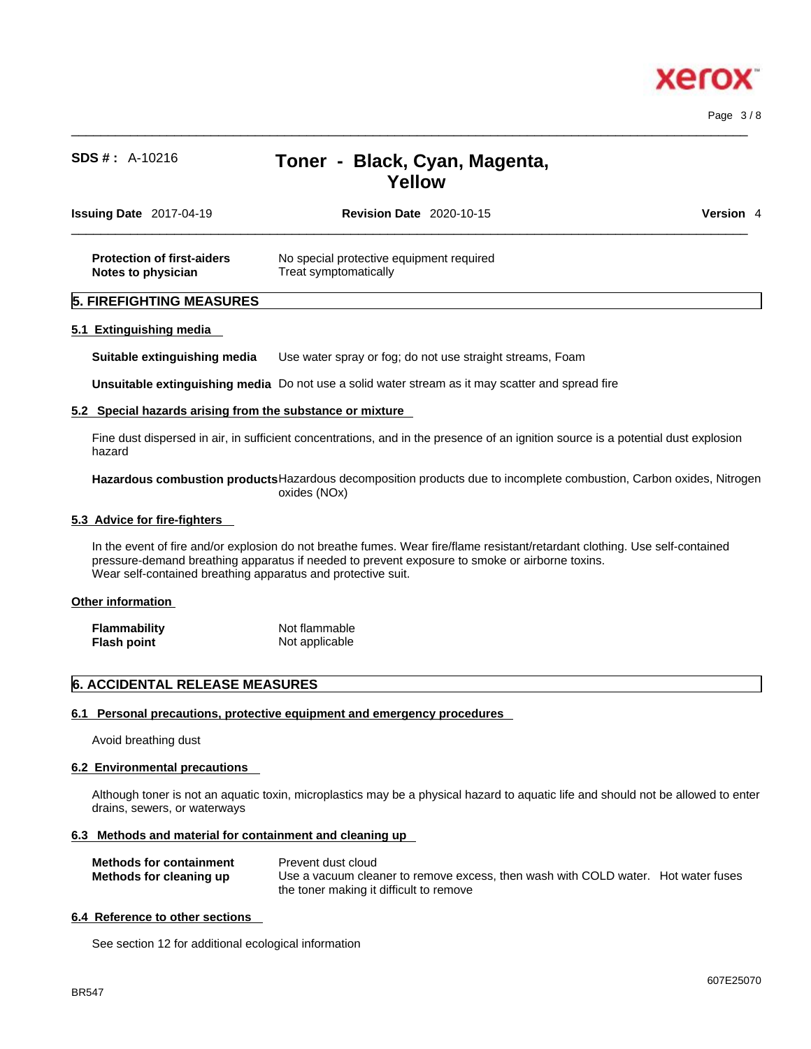

Page 3 / 8

# **SDS # :** A-10216 **Toner - Black, Cyan, Magenta, Yellow**

 $\_$  ,  $\_$  ,  $\_$  ,  $\_$  ,  $\_$  ,  $\_$  ,  $\_$  ,  $\_$  ,  $\_$  ,  $\_$  ,  $\_$  ,  $\_$  ,  $\_$  ,  $\_$  ,  $\_$  ,  $\_$  ,  $\_$  ,  $\_$  ,  $\_$  ,  $\_$  ,  $\_$  ,  $\_$  ,  $\_$  ,  $\_$  ,  $\_$  ,  $\_$  ,  $\_$  ,  $\_$  ,  $\_$  ,  $\_$  ,  $\_$  ,  $\_$  ,  $\_$  ,  $\_$  ,  $\_$  ,  $\_$  ,  $\_$  ,

| <b>Issuing Date 2017-04-19</b>                          | <b>Revision Date 2020-10-15</b>                                   | Version 4 |
|---------------------------------------------------------|-------------------------------------------------------------------|-----------|
| <b>Protection of first-aiders</b><br>Notes to physician | No special protective equipment required<br>Treat symptomatically |           |
| <b>5. FIREFIGHTING MEASURES</b>                         |                                                                   |           |

**Suitable extinguishing media** Use water spray or fog; do not use straight streams, Foam

**Unsuitable extinguishing media** Do not use a solid water stream as it may scatterand spread fire

#### **5.2 Special hazards arising from the substance or mixture**

Fine dust dispersed in air, in sufficient concentrations, and in the presence of an ignition source is a potential dust explosion hazard

**Hazardous combustion products**Hazardous decomposition products due to incomplete combustion, Carbon oxides, Nitrogen oxides (NOx)

#### **5.3 Advice for fire-fighters**

In the event of fire and/or explosion do not breathe fumes. Wear fire/flame resistant/retardant clothing. Use self-contained pressure-demand breathing apparatus if needed to prevent exposure to smoke or airborne toxins. Wear self-contained breathing apparatus and protective suit.

#### **Other information**

| <b>Flammability</b> | Not flammable  |
|---------------------|----------------|
| Flash point         | Not applicable |

# **6. ACCIDENTAL RELEASE MEASURES**

#### **6.1 Personal precautions, protective equipment and emergency procedures**

Avoid breathing dust

#### **6.2 Environmental precautions**

Although toner is not an aquatic toxin, microplastics may be a physical hazard to aquatic life and should not be allowed to enter drains, sewers, or waterways

#### **6.3 Methods and material for containment and cleaning up**

| <b>Methods for containment</b> | Prevent dust cloud                                                                |
|--------------------------------|-----------------------------------------------------------------------------------|
| Methods for cleaning up        | Use a vacuum cleaner to remove excess, then wash with COLD water. Hot water fuses |
|                                | the toner making it difficult to remove                                           |

#### **6.4 Reference to other sections**

See section 12 for additional ecological information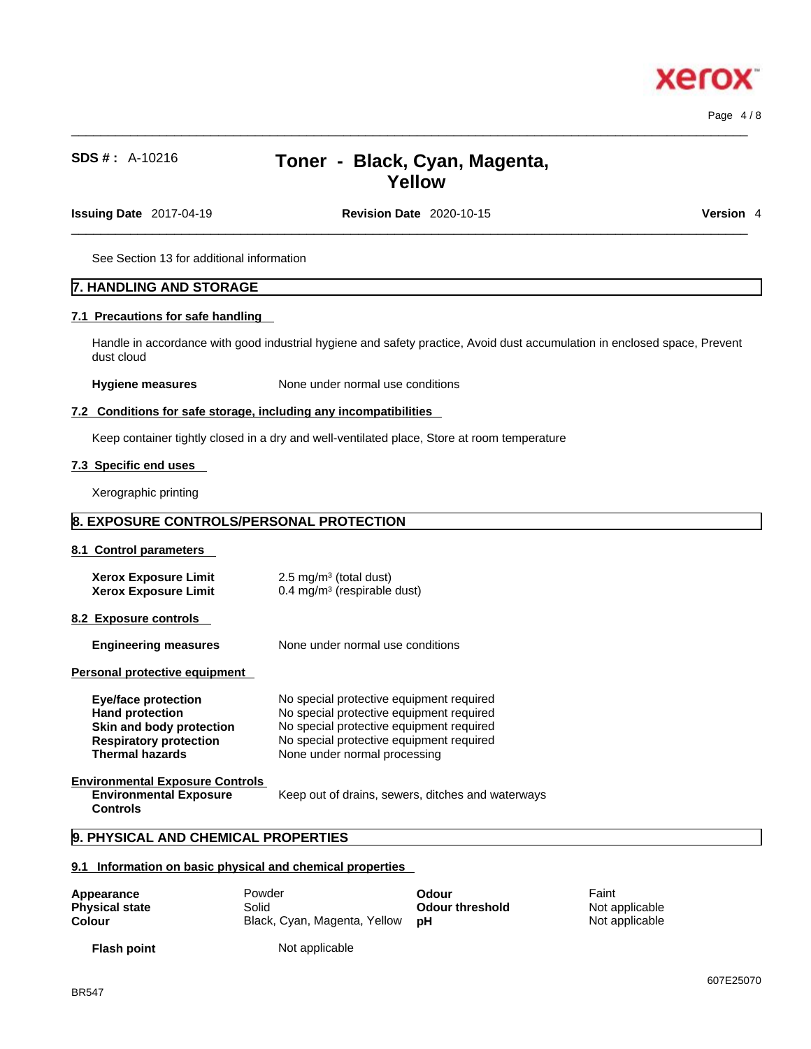# **SDS # :** A-10216 **Toner - Black, Cyan, Magenta, Yellow**

 $\_$  ,  $\_$  ,  $\_$  ,  $\_$  ,  $\_$  ,  $\_$  ,  $\_$  ,  $\_$  ,  $\_$  ,  $\_$  ,  $\_$  ,  $\_$  ,  $\_$  ,  $\_$  ,  $\_$  ,  $\_$  ,  $\_$  ,  $\_$  ,  $\_$  ,  $\_$  ,  $\_$  ,  $\_$  ,  $\_$  ,  $\_$  ,  $\_$  ,  $\_$  ,  $\_$  ,  $\_$  ,  $\_$  ,  $\_$  ,  $\_$  ,  $\_$  ,  $\_$  ,  $\_$  ,  $\_$  ,  $\_$  ,  $\_$  ,

**Issuing Date** 2017-04-19 **Revision Date** 2020-10-15 **Version** 4

 $\_$  ,  $\_$  ,  $\_$  ,  $\_$  ,  $\_$  ,  $\_$  ,  $\_$  ,  $\_$  ,  $\_$  ,  $\_$  ,  $\_$  ,  $\_$  ,  $\_$  ,  $\_$  ,  $\_$  ,  $\_$  ,  $\_$  ,  $\_$  ,  $\_$  ,  $\_$  ,  $\_$  ,  $\_$  ,  $\_$  ,  $\_$  ,  $\_$  ,  $\_$  ,  $\_$  ,  $\_$  ,  $\_$  ,  $\_$  ,  $\_$  ,  $\_$  ,  $\_$  ,  $\_$  ,  $\_$  ,  $\_$  ,  $\_$  ,

See Section 13 for additional information

# **7. HANDLING AND STORAGE**

#### **7.1 Precautions for safe handling**

Handle in accordance with good industrial hygiene and safety practice, Avoid dust accumulation in enclosed space, Prevent dust cloud

**Hygiene measures** None under normal use conditions

#### **7.2 Conditions for safe storage, including any incompatibilities**

Keep container tightly closed in a dry and well-ventilated place, Store at room temperature

### **7.3 Specific end uses**

Xerographic printing

# **8. EXPOSURE CONTROLS/PERSONAL PROTECTION**

#### **8.1 Control parameters**

| Xerox Exposure Limit | $2.5 \text{ mg/m}^3$ (total dust)      |
|----------------------|----------------------------------------|
| Xerox Exposure Limit | $0.4 \text{ mg/m}^3$ (respirable dust) |

#### **8.2 Exposure controls**

**Engineering measures** None under normal use conditions

**Personal protective equipment** 

| <b>Eye/face protection</b>                                                                 | No special protective equipment required          |
|--------------------------------------------------------------------------------------------|---------------------------------------------------|
| <b>Hand protection</b>                                                                     | No special protective equipment required          |
| Skin and body protection                                                                   | No special protective equipment required          |
| <b>Respiratory protection</b>                                                              | No special protective equipment required          |
| <b>Thermal hazards</b>                                                                     | None under normal processing                      |
| <b>Environmental Exposure Controls</b><br><b>Environmental Exposure</b><br><b>Controls</b> | Keep out of drains, sewers, ditches and waterways |

# **9. PHYSICAL AND CHEMICAL PROPERTIES**

#### **9.1 Information on basic physical and chemical properties**

| Appearance            | Powder                          | Odour           | Faint          |
|-----------------------|---------------------------------|-----------------|----------------|
| <b>Physical state</b> | Solid                           | Odour threshold | Not applicable |
| Colour                | Black, Cyan, Magenta, Yellow pH |                 | Not applicable |
|                       |                                 |                 |                |

Not applicable

**Flash point**

xero

Page 4 / 8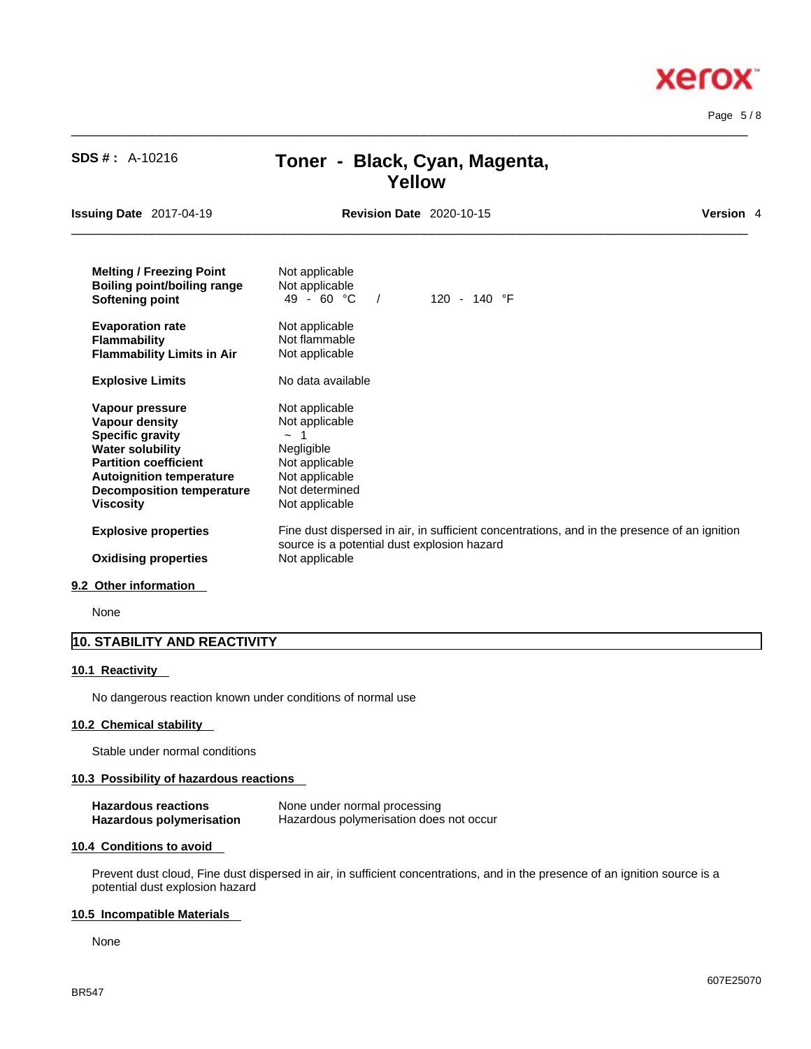$\_$  ,  $\_$  ,  $\_$  ,  $\_$  ,  $\_$  ,  $\_$  ,  $\_$  ,  $\_$  ,  $\_$  ,  $\_$  ,  $\_$  ,  $\_$  ,  $\_$  ,  $\_$  ,  $\_$  ,  $\_$  ,  $\_$  ,  $\_$  ,  $\_$  ,  $\_$  ,  $\_$  ,  $\_$  ,  $\_$  ,  $\_$  ,  $\_$  ,  $\_$  ,  $\_$  ,  $\_$  ,  $\_$  ,  $\_$  ,  $\_$  ,  $\_$  ,  $\_$  ,  $\_$  ,  $\_$  ,  $\_$  ,  $\_$  , Page 5 / 8

**Xerox** 

| <b>SDS #: A-10216</b>                                                                                                                                                                                              | Toner - Black, Cyan, Magenta,<br>Yellow                                                                                               |                                                                                              |           |
|--------------------------------------------------------------------------------------------------------------------------------------------------------------------------------------------------------------------|---------------------------------------------------------------------------------------------------------------------------------------|----------------------------------------------------------------------------------------------|-----------|
| <b>Issuing Date 2017-04-19</b>                                                                                                                                                                                     | <b>Revision Date 2020-10-15</b>                                                                                                       |                                                                                              | Version 4 |
| <b>Melting / Freezing Point</b><br><b>Boiling point/boiling range</b><br>Softening point                                                                                                                           | Not applicable<br>Not applicable<br>$49 - 60 °C$ /                                                                                    | 120 - 140 $\degree$ F                                                                        |           |
| <b>Evaporation rate</b><br><b>Flammability</b><br><b>Flammability Limits in Air</b>                                                                                                                                | Not applicable<br>Not flammable<br>Not applicable                                                                                     |                                                                                              |           |
| <b>Explosive Limits</b>                                                                                                                                                                                            | No data available                                                                                                                     |                                                                                              |           |
| Vapour pressure<br>Vapour density<br><b>Specific gravity</b><br><b>Water solubility</b><br><b>Partition coefficient</b><br><b>Autoignition temperature</b><br><b>Decomposition temperature</b><br><b>Viscosity</b> | Not applicable<br>Not applicable<br>1<br>$\sim$<br>Negligible<br>Not applicable<br>Not applicable<br>Not determined<br>Not applicable |                                                                                              |           |
| <b>Explosive properties</b><br><b>Oxidising properties</b>                                                                                                                                                         | source is a potential dust explosion hazard<br>Not applicable                                                                         | Fine dust dispersed in air, in sufficient concentrations, and in the presence of an ignition |           |

#### **9.2 Other information**

None

# **10. STABILITY AND REACTIVITY**

#### **10.1 Reactivity**

No dangerous reaction known under conditions of normal use

### **10.2 Chemical stability**

Stable under normal conditions

### **10.3 Possibility of hazardous reactions**

| <b>Hazardous reactions</b> | None under normal processing            |
|----------------------------|-----------------------------------------|
| Hazardous polymerisation   | Hazardous polymerisation does not occur |

#### **10.4 Conditions to avoid**

Prevent dust cloud, Fine dust dispersed in air, in sufficient concentrations, and in the presence of an ignition source is a potential dust explosion hazard

#### **10.5 Incompatible Materials**

None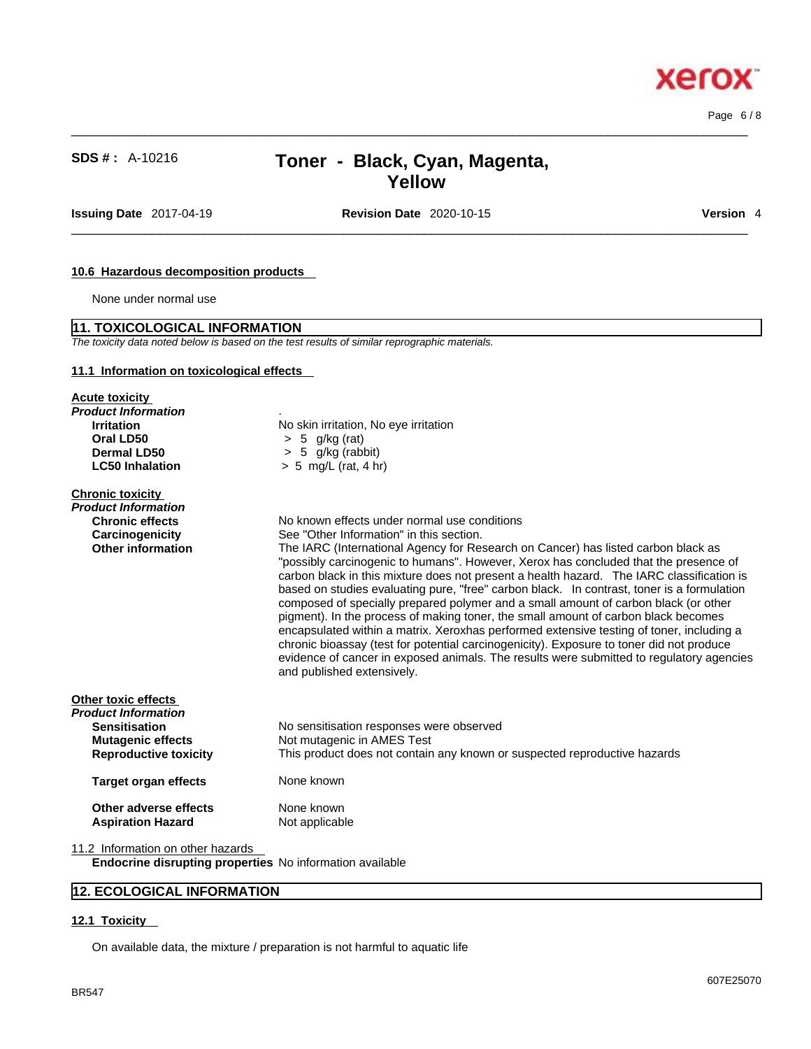$\_$  ,  $\_$  ,  $\_$  ,  $\_$  ,  $\_$  ,  $\_$  ,  $\_$  ,  $\_$  ,  $\_$  ,  $\_$  ,  $\_$  ,  $\_$  ,  $\_$  ,  $\_$  ,  $\_$  ,  $\_$  ,  $\_$  ,  $\_$  ,  $\_$  ,  $\_$  ,  $\_$  ,  $\_$  ,  $\_$  ,  $\_$  ,  $\_$  ,  $\_$  ,  $\_$  ,  $\_$  ,  $\_$  ,  $\_$  ,  $\_$  ,  $\_$  ,  $\_$  ,  $\_$  ,  $\_$  ,  $\_$  ,  $\_$  , Page 6 / 8

# **SDS # :** A-10216 **Toner - Black, Cyan, Magenta, Yellow**

**Issuing Date** 2017-04-19 **Revision Date** 2020-10-15 **Version** 4

# $\_$  ,  $\_$  ,  $\_$  ,  $\_$  ,  $\_$  ,  $\_$  ,  $\_$  ,  $\_$  ,  $\_$  ,  $\_$  ,  $\_$  ,  $\_$  ,  $\_$  ,  $\_$  ,  $\_$  ,  $\_$  ,  $\_$  ,  $\_$  ,  $\_$  ,  $\_$  ,  $\_$  ,  $\_$  ,  $\_$  ,  $\_$  ,  $\_$  ,  $\_$  ,  $\_$  ,  $\_$  ,  $\_$  ,  $\_$  ,  $\_$  ,  $\_$  ,  $\_$  ,  $\_$  ,  $\_$  ,  $\_$  ,  $\_$  ,

**Xerox** 

#### **10.6 Hazardous decomposition products**

None under normal use

#### **11. TOXICOLOGICAL INFORMATION**

*The toxicity data noted below is based on the test results of similar reprographic materials.* 

#### **11.1 Information on toxicological effects**

| <b>Acute toxicity</b>                                           |                                                                                                                                                                                                                                                                                                                                                                                                                                                                                                                                                                                                                                                                                                                                                                                                                                                                     |  |
|-----------------------------------------------------------------|---------------------------------------------------------------------------------------------------------------------------------------------------------------------------------------------------------------------------------------------------------------------------------------------------------------------------------------------------------------------------------------------------------------------------------------------------------------------------------------------------------------------------------------------------------------------------------------------------------------------------------------------------------------------------------------------------------------------------------------------------------------------------------------------------------------------------------------------------------------------|--|
| Product Information                                             |                                                                                                                                                                                                                                                                                                                                                                                                                                                                                                                                                                                                                                                                                                                                                                                                                                                                     |  |
| <b>Irritation</b>                                               | No skin irritation, No eye irritation                                                                                                                                                                                                                                                                                                                                                                                                                                                                                                                                                                                                                                                                                                                                                                                                                               |  |
| Oral LD50                                                       | $> 5$ g/kg (rat)                                                                                                                                                                                                                                                                                                                                                                                                                                                                                                                                                                                                                                                                                                                                                                                                                                                    |  |
| Dermal LD50                                                     | $> 5$ g/kg (rabbit)                                                                                                                                                                                                                                                                                                                                                                                                                                                                                                                                                                                                                                                                                                                                                                                                                                                 |  |
| <b>LC50 Inhalation</b>                                          | $> 5$ mg/L (rat, 4 hr)                                                                                                                                                                                                                                                                                                                                                                                                                                                                                                                                                                                                                                                                                                                                                                                                                                              |  |
| <b>Chronic toxicity</b>                                         |                                                                                                                                                                                                                                                                                                                                                                                                                                                                                                                                                                                                                                                                                                                                                                                                                                                                     |  |
| Product Information                                             |                                                                                                                                                                                                                                                                                                                                                                                                                                                                                                                                                                                                                                                                                                                                                                                                                                                                     |  |
| <b>Chronic effects</b>                                          | No known effects under normal use conditions                                                                                                                                                                                                                                                                                                                                                                                                                                                                                                                                                                                                                                                                                                                                                                                                                        |  |
| Carcinogenicity                                                 | See "Other Information" in this section.                                                                                                                                                                                                                                                                                                                                                                                                                                                                                                                                                                                                                                                                                                                                                                                                                            |  |
| <b>Other information</b>                                        | The IARC (International Agency for Research on Cancer) has listed carbon black as<br>"possibly carcinogenic to humans". However, Xerox has concluded that the presence of<br>carbon black in this mixture does not present a health hazard. The IARC classification is<br>based on studies evaluating pure, "free" carbon black. In contrast, toner is a formulation<br>composed of specially prepared polymer and a small amount of carbon black (or other<br>pigment). In the process of making toner, the small amount of carbon black becomes<br>encapsulated within a matrix. Xeroxhas performed extensive testing of toner, including a<br>chronic bioassay (test for potential carcinogenicity). Exposure to toner did not produce<br>evidence of cancer in exposed animals. The results were submitted to regulatory agencies<br>and published extensively. |  |
| Other toxic effects<br>Product Information                      |                                                                                                                                                                                                                                                                                                                                                                                                                                                                                                                                                                                                                                                                                                                                                                                                                                                                     |  |
| <b>Sensitisation</b>                                            | No sensitisation responses were observed                                                                                                                                                                                                                                                                                                                                                                                                                                                                                                                                                                                                                                                                                                                                                                                                                            |  |
| <b>Mutagenic effects</b>                                        | Not mutagenic in AMES Test                                                                                                                                                                                                                                                                                                                                                                                                                                                                                                                                                                                                                                                                                                                                                                                                                                          |  |
| <b>Reproductive toxicity</b>                                    | This product does not contain any known or suspected reproductive hazards                                                                                                                                                                                                                                                                                                                                                                                                                                                                                                                                                                                                                                                                                                                                                                                           |  |
|                                                                 |                                                                                                                                                                                                                                                                                                                                                                                                                                                                                                                                                                                                                                                                                                                                                                                                                                                                     |  |
| <b>Target organ effects</b>                                     | None known                                                                                                                                                                                                                                                                                                                                                                                                                                                                                                                                                                                                                                                                                                                                                                                                                                                          |  |
| Other adverse effects                                           | None known                                                                                                                                                                                                                                                                                                                                                                                                                                                                                                                                                                                                                                                                                                                                                                                                                                                          |  |
| <b>Aspiration Hazard</b>                                        | Not applicable                                                                                                                                                                                                                                                                                                                                                                                                                                                                                                                                                                                                                                                                                                                                                                                                                                                      |  |
| 11.2 Information on other hazards                               |                                                                                                                                                                                                                                                                                                                                                                                                                                                                                                                                                                                                                                                                                                                                                                                                                                                                     |  |
| <b>Endocrine disrupting properties</b> No information available |                                                                                                                                                                                                                                                                                                                                                                                                                                                                                                                                                                                                                                                                                                                                                                                                                                                                     |  |

# **12. ECOLOGICAL INFORMATION**

### **12.1 Toxicity**

On available data, the mixture / preparation is not harmful to aquatic life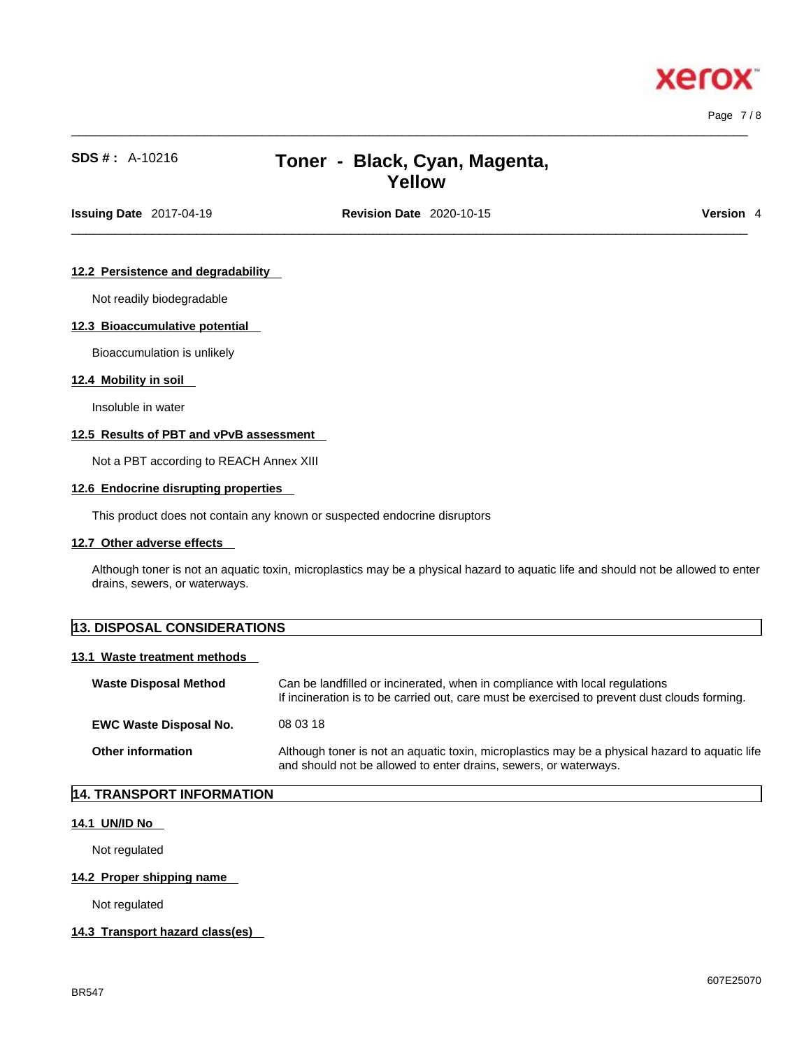xerox

# **SDS # :** A-10216 **Toner - Black, Cyan, Magenta, Yellow**

 $\_$  ,  $\_$  ,  $\_$  ,  $\_$  ,  $\_$  ,  $\_$  ,  $\_$  ,  $\_$  ,  $\_$  ,  $\_$  ,  $\_$  ,  $\_$  ,  $\_$  ,  $\_$  ,  $\_$  ,  $\_$  ,  $\_$  ,  $\_$  ,  $\_$  ,  $\_$  ,  $\_$  ,  $\_$  ,  $\_$  ,  $\_$  ,  $\_$  ,  $\_$  ,  $\_$  ,  $\_$  ,  $\_$  ,  $\_$  ,  $\_$  ,  $\_$  ,  $\_$  ,  $\_$  ,  $\_$  ,  $\_$  ,  $\_$  ,

**Issuing Date** 2017-04-19 **Revision Date** 2020-10-15 **Version** 4

 $\_$  ,  $\_$  ,  $\_$  ,  $\_$  ,  $\_$  ,  $\_$  ,  $\_$  ,  $\_$  ,  $\_$  ,  $\_$  ,  $\_$  ,  $\_$  ,  $\_$  ,  $\_$  ,  $\_$  ,  $\_$  ,  $\_$  ,  $\_$  ,  $\_$  ,  $\_$  ,  $\_$  ,  $\_$  ,  $\_$  ,  $\_$  ,  $\_$  ,  $\_$  ,  $\_$  ,  $\_$  ,  $\_$  ,  $\_$  ,  $\_$  ,  $\_$  ,  $\_$  ,  $\_$  ,  $\_$  ,  $\_$  ,  $\_$  ,

#### **12.2 Persistence and degradability**

Not readily biodegradable

### **12.3 Bioaccumulative potential**

Bioaccumulation is unlikely

#### **12.4 Mobility in soil**

Insoluble in water

# **12.5 Results of PBT and vPvB assessment**

Not a PBT according to REACH Annex XIII

#### **12.6 Endocrine disrupting properties**

This product does not contain any known or suspected endocrine disruptors

### **12.7 Other adverse effects**

Although toner is not an aquatic toxin, microplastics may be a physical hazard to aquatic life and should not be allowed to enter drains, sewers, or waterways.

| <b>13. DISPOSAL CONSIDERATIONS</b> |                                                                             |  |
|------------------------------------|-----------------------------------------------------------------------------|--|
| 13.1 Waste treatment methods       |                                                                             |  |
| <b>Waste Disposal Method</b>       | Can be landfilled or incinerated, when in compliance with local regulations |  |

|                               | If incineration is to be carried out, care must be exercised to prevent dust clouds forming.                                                                       |
|-------------------------------|--------------------------------------------------------------------------------------------------------------------------------------------------------------------|
| <b>EWC Waste Disposal No.</b> | 08 03 18                                                                                                                                                           |
| <b>Other information</b>      | Although toner is not an aquatic toxin, microplastics may be a physical hazard to aquatic life<br>and should not be allowed to enter drains, sewers, or waterways. |

# **14. TRANSPORT INFORMATION**

### **14.1 UN/ID No**

Not regulated

#### **14.2 Proper shipping name**

Not regulated

#### **14.3 Transport hazard class(es)**